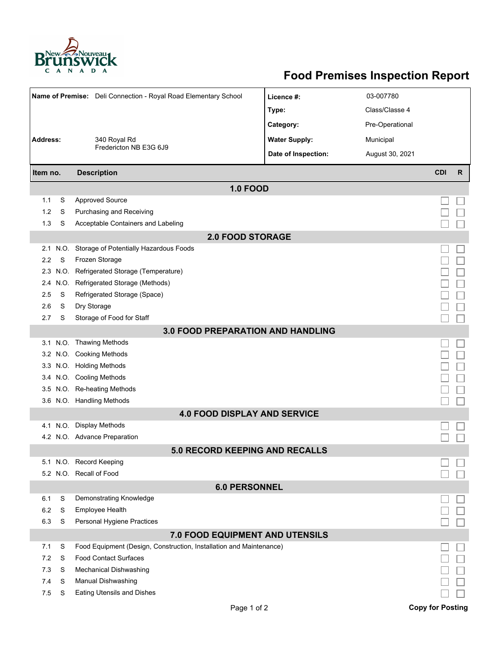

## **Food Premises Inspection Report**

|                                 |          | Name of Premise: Deli Connection - Royal Road Elementary School                                     | Licence #:           | 03-007780       |                         |   |  |  |  |  |  |  |  |
|---------------------------------|----------|-----------------------------------------------------------------------------------------------------|----------------------|-----------------|-------------------------|---|--|--|--|--|--|--|--|
|                                 |          |                                                                                                     | Type:                | Class/Classe 4  |                         |   |  |  |  |  |  |  |  |
|                                 |          |                                                                                                     | Category:            | Pre-Operational |                         |   |  |  |  |  |  |  |  |
| <b>Address:</b><br>340 Royal Rd |          |                                                                                                     | <b>Water Supply:</b> | Municipal       |                         |   |  |  |  |  |  |  |  |
|                                 |          | Fredericton NB E3G 6J9                                                                              | Date of Inspection:  |                 |                         |   |  |  |  |  |  |  |  |
|                                 |          |                                                                                                     |                      | August 30, 2021 |                         |   |  |  |  |  |  |  |  |
| Item no.                        |          | <b>Description</b>                                                                                  |                      |                 | <b>CDI</b>              | R |  |  |  |  |  |  |  |
|                                 |          | <b>1.0 FOOD</b>                                                                                     |                      |                 |                         |   |  |  |  |  |  |  |  |
| 1.1                             | S        | <b>Approved Source</b>                                                                              |                      |                 |                         |   |  |  |  |  |  |  |  |
| 1.2                             | S        | Purchasing and Receiving                                                                            |                      |                 |                         |   |  |  |  |  |  |  |  |
| 1.3                             | S        | Acceptable Containers and Labeling                                                                  |                      |                 |                         |   |  |  |  |  |  |  |  |
| <b>2.0 FOOD STORAGE</b>         |          |                                                                                                     |                      |                 |                         |   |  |  |  |  |  |  |  |
| 2.1                             | N.O.     | Storage of Potentially Hazardous Foods                                                              |                      |                 |                         |   |  |  |  |  |  |  |  |
| 2.2                             | S        | Frozen Storage                                                                                      |                      |                 |                         |   |  |  |  |  |  |  |  |
| 2.3                             | N.O.     | Refrigerated Storage (Temperature)                                                                  |                      |                 |                         |   |  |  |  |  |  |  |  |
| 2.4                             | N.O.     | Refrigerated Storage (Methods)                                                                      |                      |                 |                         |   |  |  |  |  |  |  |  |
| 2.5                             | S        | Refrigerated Storage (Space)                                                                        |                      |                 |                         |   |  |  |  |  |  |  |  |
| 2.6                             | S        | Dry Storage                                                                                         |                      |                 |                         |   |  |  |  |  |  |  |  |
| 2.7                             | S        | Storage of Food for Staff                                                                           |                      |                 |                         |   |  |  |  |  |  |  |  |
|                                 |          | <b>3.0 FOOD PREPARATION AND HANDLING</b>                                                            |                      |                 |                         |   |  |  |  |  |  |  |  |
|                                 | 3.1 N.O. | Thawing Methods                                                                                     |                      |                 |                         |   |  |  |  |  |  |  |  |
|                                 | 3.2 N.O. | <b>Cooking Methods</b>                                                                              |                      |                 |                         |   |  |  |  |  |  |  |  |
|                                 |          | 3.3 N.O. Holding Methods                                                                            |                      |                 |                         |   |  |  |  |  |  |  |  |
|                                 |          | 3.4 N.O. Cooling Methods                                                                            |                      |                 |                         |   |  |  |  |  |  |  |  |
| 3.5                             |          | N.O. Re-heating Methods                                                                             |                      |                 |                         |   |  |  |  |  |  |  |  |
|                                 |          | 3.6 N.O. Handling Methods                                                                           |                      |                 |                         |   |  |  |  |  |  |  |  |
|                                 |          | <b>4.0 FOOD DISPLAY AND SERVICE</b>                                                                 |                      |                 |                         |   |  |  |  |  |  |  |  |
|                                 | 4.1 N.O. | <b>Display Methods</b>                                                                              |                      |                 |                         |   |  |  |  |  |  |  |  |
|                                 |          | 4.2 N.O. Advance Preparation                                                                        |                      |                 |                         |   |  |  |  |  |  |  |  |
|                                 |          | <b>5.0 RECORD KEEPING AND RECALLS</b>                                                               |                      |                 |                         |   |  |  |  |  |  |  |  |
|                                 |          | 5.1 N.O. Record Keeping                                                                             |                      |                 |                         |   |  |  |  |  |  |  |  |
|                                 |          | 5.2 N.O. Recall of Food                                                                             |                      |                 |                         |   |  |  |  |  |  |  |  |
|                                 |          | <b>6.0 PERSONNEL</b>                                                                                |                      |                 |                         |   |  |  |  |  |  |  |  |
| 6.1                             | S        | Demonstrating Knowledge                                                                             |                      |                 |                         |   |  |  |  |  |  |  |  |
| 6.2                             | S        | Employee Health                                                                                     |                      |                 |                         |   |  |  |  |  |  |  |  |
| 6.3                             | S        | Personal Hygiene Practices                                                                          |                      |                 |                         |   |  |  |  |  |  |  |  |
| 7.0 FOOD EQUIPMENT AND UTENSILS |          |                                                                                                     |                      |                 |                         |   |  |  |  |  |  |  |  |
| 7.1<br>7.2                      | S<br>S   | Food Equipment (Design, Construction, Installation and Maintenance)<br><b>Food Contact Surfaces</b> |                      |                 |                         |   |  |  |  |  |  |  |  |
| 7.3                             | S        | Mechanical Dishwashing                                                                              |                      |                 |                         |   |  |  |  |  |  |  |  |
| 7.4                             | S        | Manual Dishwashing                                                                                  |                      |                 |                         |   |  |  |  |  |  |  |  |
| 7.5                             | S        | Eating Utensils and Dishes                                                                          |                      |                 |                         |   |  |  |  |  |  |  |  |
|                                 |          |                                                                                                     |                      |                 |                         |   |  |  |  |  |  |  |  |
|                                 |          | Page 1 of 2                                                                                         |                      |                 | <b>Copy for Posting</b> |   |  |  |  |  |  |  |  |